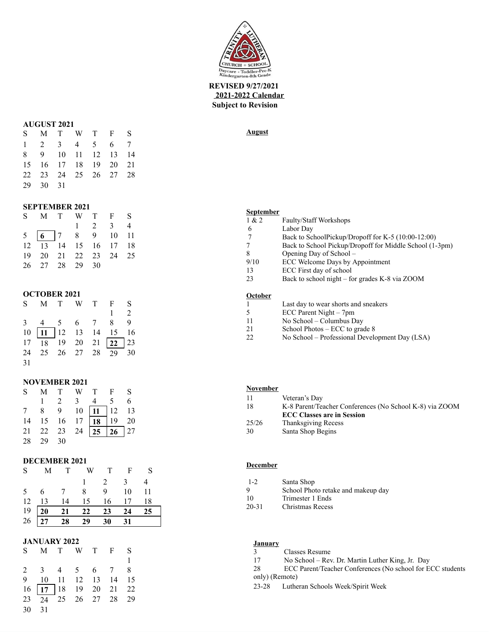

## **REVISED 9/27/2021 2021-2022 Calendar Subject to Revision**

### **AUGUST 2021**

| S M T W T F S               |  |  |  |
|-----------------------------|--|--|--|
| $1 \t2 \t3 \t4 \t5 \t6 \t7$ |  |  |  |
| 8 9 10 11 12 13 14          |  |  |  |
| 15 16 17 18 19 20 21        |  |  |  |
| 22 23 24 25 26 27 28        |  |  |  |
| 29 30 31                    |  |  |  |

### **SEPTEMBER 2021**

| S M T W T F S                                   |  |                 |  |
|-------------------------------------------------|--|-----------------|--|
|                                                 |  | $1 \t2 \t3 \t4$ |  |
| $5\quad 6\quad 7\quad 8\quad 9\quad 10\quad 11$ |  |                 |  |
| 12  13  14  15  16  17  18                      |  |                 |  |
| 19 20 21 22 23 24 25                            |  |                 |  |
| 26 27 28 29 30                                  |  |                 |  |

## **OCTOBER 2021**

|    |  |  | S M T W T F S                                        |  |
|----|--|--|------------------------------------------------------|--|
|    |  |  | $1 \quad 2$                                          |  |
|    |  |  | 3 4 5 6 7 8 9                                        |  |
|    |  |  | $10 \boxed{11}$ $12 \boxed{13}$ $14 \boxed{15}$ $16$ |  |
|    |  |  | $17 \overline{18}$ 19 20 21 22 23                    |  |
|    |  |  | 24 25 26 27 28 29 30                                 |  |
| 31 |  |  |                                                      |  |

## **NOVEMBER 2021**

|          |  | S M T W T F S                                                     |  |
|----------|--|-------------------------------------------------------------------|--|
|          |  | $1 \t2 \t3 \t4 \t5 \t6$                                           |  |
|          |  | 7 8 9 10 11 12 13<br>14 15 16 17 18 19 20<br>21 22 23 24 25 26 27 |  |
|          |  |                                                                   |  |
|          |  |                                                                   |  |
| 28 29 30 |  |                                                                   |  |

### **DECEMBER 2021**

|  | S M T W T F S                                                                                           |                 |  |
|--|---------------------------------------------------------------------------------------------------------|-----------------|--|
|  |                                                                                                         | $1 \t2 \t3 \t4$ |  |
|  | 5 6 7 8 9 10 11                                                                                         |                 |  |
|  | 12  13  14  15  16  17  18                                                                              |                 |  |
|  | $\begin{array}{c ccccc}\n 19 & 20 & 21 & 22 & 23 & 24 & 25 \\ 26 & 27 & 28 & 29 & 30 & 31\n\end{array}$ |                 |  |
|  |                                                                                                         |                 |  |

### **JANUARY 2022**

|       |  |  | S M T W T F S                     |  |
|-------|--|--|-----------------------------------|--|
|       |  |  |                                   |  |
|       |  |  | 2 3 4 5 6 7 8                     |  |
|       |  |  | 9 10 11 12 13 14 15               |  |
|       |  |  | $16 \overline{17}$ 18 19 20 21 22 |  |
|       |  |  | 23 24 25 26 27 28 29              |  |
| 30 31 |  |  |                                   |  |

## **August**

### **September**

| 1 & 2   | <b>Faulty/Staff Workshops</b>                           |
|---------|---------------------------------------------------------|
| 6       | Labor Day                                               |
| 7       | Back to SchoolPickup/Dropoff for K-5 (10:00-12:00)      |
| 7       | Back to School Pickup/Dropoff for Middle School (1-3pm) |
| 8       | Opening Day of School –                                 |
| 9/10    | ECC Welcome Days by Appointment                         |
| 13      | ECC First day of school                                 |
| 23      | Back to school night – for grades K-8 via ZOOM          |
|         |                                                         |
| Actober |                                                         |

#### **October**

| vetoper |                                      |
|---------|--------------------------------------|
|         | Last day to wear shorts and sneakers |
|         | ECC Parent Night – 7pm               |

- 5 ECC Parent Night 7pm<br>11 No School Columbus Da
- 11 No School Columbus Day<br>21 School Photos ECC to grad
- 21 School Photos ECC to grade 8<br>22 No School Professional Develo
- No School Professional Development Day (LSA)

# **November**

| -11   | Veteran's Day                                           |
|-------|---------------------------------------------------------|
| 18    | K-8 Parent/Teacher Conferences (No School K-8) via ZOOM |
|       | <b>ECC Classes are in Session</b>                       |
| 25/26 | <b>Thanksgiving Recess</b>                              |
| 30    | Santa Shop Begins                                       |

### **December**

| $1 - 2$   | Santa Shop                         |
|-----------|------------------------------------|
| 9         | School Photo retake and makeup day |
| 10        | Trimester 1 Ends                   |
| $20 - 31$ | Christmas Recess                   |

## **January**

- 3 Classes Resume
- 17 No School Rev. Dr. Martin Luther King, Jr. Day
- 28 ECC Parent/Teacher Conferences (No school for ECC students
- only) (Remote)
- 23-28 Lutheran Schools Week/Spirit Week